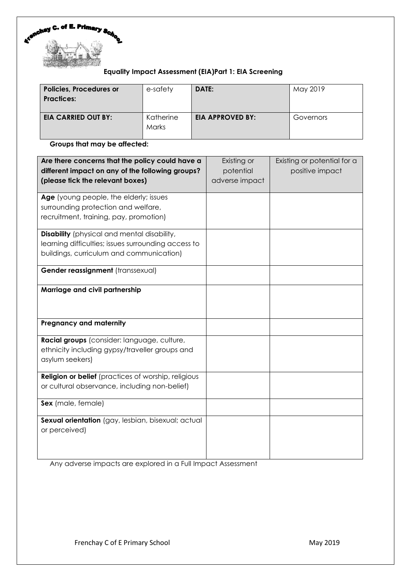

# **Equality Impact Assessment (EIA)Part 1: EIA Screening**

| <b>Policies, Procedures or</b><br><b>Practices:</b> | e-safety           | DATE:                   | May 2019  |
|-----------------------------------------------------|--------------------|-------------------------|-----------|
| <b>EIA CARRIED OUT BY:</b>                          | Katherine<br>Marks | <b>EIA APPROVED BY:</b> | Governors |

**Groups that may be affected:**

| Are there concerns that the policy could have a<br>different impact on any of the following groups?<br>(please tick the relevant boxes)               | Existing or<br>potential<br>adverse impact | Existing or potential for a<br>positive impact |
|-------------------------------------------------------------------------------------------------------------------------------------------------------|--------------------------------------------|------------------------------------------------|
| Age (young people, the elderly; issues<br>surrounding protection and welfare,<br>recruitment, training, pay, promotion)                               |                                            |                                                |
| <b>Disability</b> (physical and mental disability,<br>learning difficulties; issues surrounding access to<br>buildings, curriculum and communication) |                                            |                                                |
| Gender reassignment (transsexual)                                                                                                                     |                                            |                                                |
| Marriage and civil partnership                                                                                                                        |                                            |                                                |
| <b>Pregnancy and maternity</b>                                                                                                                        |                                            |                                                |
| Racial groups (consider: language, culture,<br>ethnicity including gypsy/traveller groups and<br>asylum seekers)                                      |                                            |                                                |
| <b>Religion or belief</b> (practices of worship, religious<br>or cultural observance, including non-belief)                                           |                                            |                                                |
| Sex (male, female)                                                                                                                                    |                                            |                                                |
| Sexual orientation (gay, lesbian, bisexual; actual<br>or perceived)                                                                                   |                                            |                                                |

Any adverse impacts are explored in a Full Impact Assessment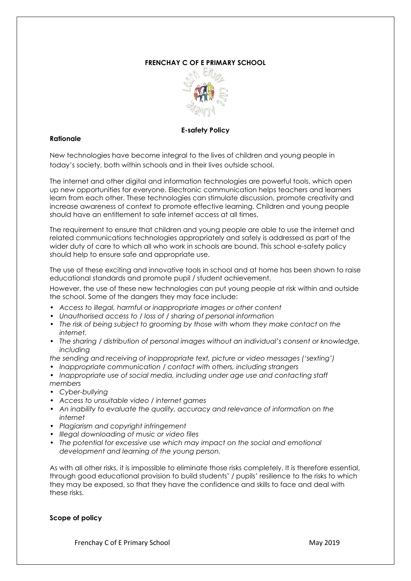# **FRENCHAY C OF E PRIMARY SCHOOL**



#### **E-safety Policy**

### **Rationale**

New technologies have become integral to the lives of children and young people in today's society, both within schools and in their lives outside school.

The internet and other digital and information technologies are powerful tools, which open up new opportunities for everyone. Electronic communication helps teachers and learners learn from each other. These technologies can stimulate discussion, promote creativity and increase awareness of context to promote effective learning. Children and young people should have an entitlement to safe internet access at all times.

The requirement to ensure that children and young people are able to use the internet and related communications technologies appropriately and safely is addressed as part of the wider duty of care to which all who work in schools are bound. This school e-safety policy should help to ensure safe and appropriate use.

The use of these exciting and innovative tools in school and at home has been shown to raise educational standards and promote pupil / student achievement.

However, the use of these new technologies can put young people at risk within and outside the school. Some of the dangers they may face include:

- *Access to illegal, harmful or inappropriate images or other content*
- *• Unauthorised access to / loss of / sharing of personal information*
- *• The risk of being subject to grooming by those with whom they make contact on the internet.*
- *• The sharing / distribution of personal images without an individual's consent or knowledge, including*
- *the sending and receiving of inappropriate text, picture or video messages ('sexting')*
- *• Inappropriate communication / contact with others, including strangers*
- Inappropriate use of social media, including under age use and contacting staff *members*
- *• Cyber-bullying*
- *• Access to unsuitable video / internet games*
- *• An inability to evaluate the quality, accuracy and relevance of information on the internet*
- *• Plagiarism and copyright infringement*
- *• Illegal downloading of music or video files*
- *• The potential for excessive use which may impact on the social and emotional development and learning of the young person.*

As with all other risks, it is impossible to eliminate those risks completely. It is therefore essential, through good educational provision to build students' / pupils' resilience to the risks to which they may be exposed, so that they have the confidence and skills to face and deal with these risks.

#### **Scope of policy**

Frenchay C of E Primary School May 2019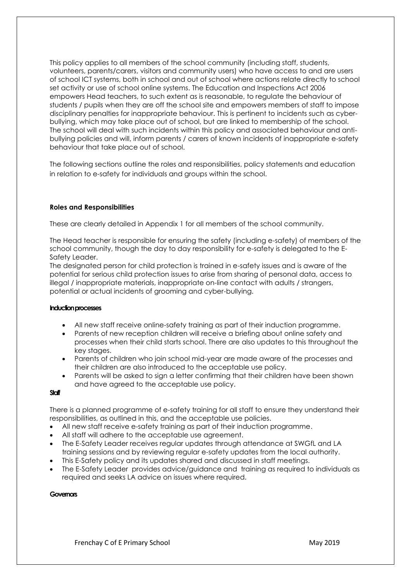This policy applies to all members of the school community (including staff, students, volunteers, parents/carers, visitors and community users) who have access to and are users of school ICT systems, both in school and out of school where actions relate directly to school set activity or use of school online systems. The Education and Inspections Act 2006 empowers Head teachers, to such extent as is reasonable, to regulate the behaviour of students / pupils when they are off the school site and empowers members of staff to impose disciplinary penalties for inappropriate behaviour. This is pertinent to incidents such as cyberbullying, which may take place out of school, but are linked to membership of the school. The school will deal with such incidents within this policy and associated behaviour and antibullying policies and will, inform parents / carers of known incidents of inappropriate e-safety behaviour that take place out of school.

The following sections outline the roles and responsibilities, policy statements and education in relation to e-safety for individuals and groups within the school.

### **Roles and Responsibilities**

These are clearly detailed in Appendix 1 for all members of the school community.

The Head teacher is responsible for ensuring the safety (including e-safety) of members of the school community, though the day to day responsibility for e-safety is delegated to the E-Safety Leader.

The designated person for child protection is trained in e-safety issues and is aware of the potential for serious child protection issues to arise from sharing of personal data, access to illegal / inappropriate materials, inappropriate on-line contact with adults / strangers, potential or actual incidents of grooming and cyber-bullying.

#### **Induction processes**

- All new staff receive online-safety training as part of their induction programme.
- Parents of new reception children will receive a briefing about online safety and processes when their child starts school. There are also updates to this throughout the key stages.
- Parents of children who join school mid-year are made aware of the processes and their children are also introduced to the acceptable use policy.
- Parents will be asked to sign a letter confirming that their children have been shown and have agreed to the acceptable use policy.

#### **Staff**

There is a planned programme of e-safety training for all staff to ensure they understand their responsibilities, as outlined in this, and the acceptable use policies.

- All new staff receive e-safety training as part of their induction programme.
- All staff will adhere to the acceptable use agreement.
- The E-Safety Leader receives regular updates through attendance at SWGfL and LA training sessions and by reviewing regular e-safety updates from the local authority.
- This E-Safety policy and its updates shared and discussed in staff meetings.
- The E-Safety Leader provides advice/guidance and training as required to individuals as required and seeks LA advice on issues where required.

#### **Governors**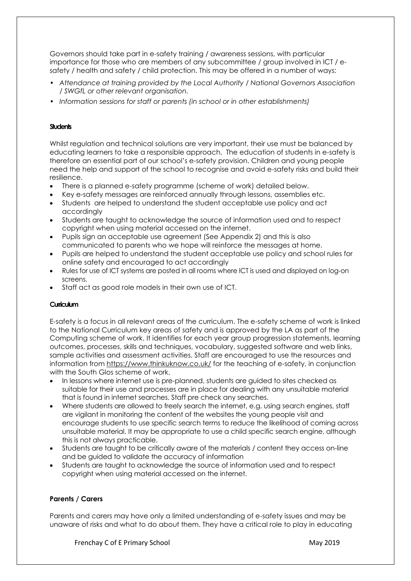Governors should take part in e-safety training / awareness sessions, with particular importance for those who are members of any subcommittee / group involved in ICT / esafety / health and safety / child protection. This may be offered in a number of ways:

- *Attendance at training provided by the Local Authority / National Governors Association / SWGfL or other relevant organisation.*
- *Information sessions for staff or parents (in school or in other establishments)*

# **Students**

Whilst regulation and technical solutions are very important, their use must be balanced by educating learners to take a responsible approach. The education of students in e-safety is therefore an essential part of our school's e-safety provision. Children and young people need the help and support of the school to recognise and avoid e-safety risks and build their resilience.

- There is a planned e-safety programme (scheme of work) detailed below.
- Key e-safety messages are reinforced annually through lessons, assemblies etc.
- Students are helped to understand the student acceptable use policy and act accordingly
- Students are taught to acknowledge the source of information used and to respect copyright when using material accessed on the internet.
- Pupils sign an acceptable use agreement (See Appendix 2) and this is also communicated to parents who we hope will reinforce the messages at home.
- Pupils are helped to understand the student acceptable use policy and school rules for online safety and encouraged to act accordingly
- Rules for use of ICT systems are posted in all rooms where ICT is used and displayed on log-on screens.
- Staff act as good role models in their own use of ICT.

# **Curriculum**

E-safety is a focus in all relevant areas of the curriculum. The e-safety scheme of work is linked to the National Curriculum key areas of safety and is approved by the LA as part of the Computing scheme of work. It identifies for each year group progression statements, learning outcomes, processes, skills and techniques, vocabulary, suggested software and web links, sample activities and assessment activities. Staff are encouraged to use the resources and information from<https://www.thinkuknow.co.uk/> for the teaching of e-safety, in conjunction with the South Glos scheme of work.

- In lessons where internet use is pre-planned, students are guided to sites checked as suitable for their use and processes are in place for dealing with any unsuitable material that is found in internet searches. Staff pre check any searches.
- Where students are allowed to freely search the internet, e.g. using search engines, staff are vigilant in monitoring the content of the websites the young people visit and encourage students to use specific search terms to reduce the likelihood of coming across unsuitable material. It may be appropriate to use a child specific search engine, although this is not always practicable.
- Students are taught to be critically aware of the materials / content they access on-line and be guided to validate the accuracy of information
- Students are taught to acknowledge the source of information used and to respect copyright when using material accessed on the internet.

# **Parents / Carers**

Parents and carers may have only a limited understanding of e-safety issues and may be unaware of risks and what to do about them. They have a critical role to play in educating

Frenchay C of E Primary School and The Control of Executive May 2019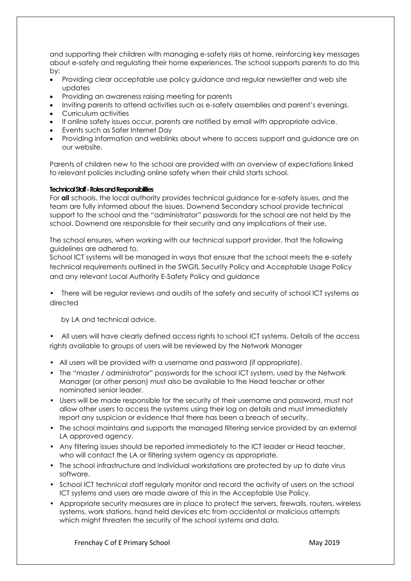and supporting their children with managing e-safety risks at home, reinforcing key messages about e-safety and regulating their home experiences. The school supports parents to do this by:

- Providing clear acceptable use policy guidance and regular newsletter and web site updates
- Providing an awareness raising meeting for parents
- Inviting parents to attend activities such as e-safety assemblies and parent's evenings.
- Curriculum activities
- If online safety issues occur, parents are notified by email with appropriate advice.
- Events such as Safer Internet Day
- Providing information and weblinks about where to access support and guidance are on our website.

Parents of children new to the school are provided with an overview of expectations linked to relevant policies including online safety when their child starts school.

### **Technical Staff -Roles and Responsibilities**

For **all** schools, the local authority provides technical guidance for e-safety issues, and the team are fully informed about the issues. Downend Secondary school provide technical support to the school and the "administrator" passwords for the school are not held by the school. Downend are responsible for their security and any implications of their use.

The school ensures, when working with our technical support provider, that the following guidelines are adhered to.

School ICT systems will be managed in ways that ensure that the school meets the e-safety technical requirements outlined in the SWGfL Security Policy and Acceptable Usage Policy and any relevant Local Authority E-Safety Policy and guidance

• There will be regular reviews and audits of the safety and security of school ICT systems as directed

by LA and technical advice.

• All users will have clearly defined access rights to school ICT systems. Details of the access rights available to groups of users will be reviewed by the Network Manager

- All users will be provided with a username and password (if appropriate).
- The "master / administrator" passwords for the school ICT system, used by the Network Manager (or other person) must also be available to the Head teacher or other nominated senior leader.
- Users will be made responsible for the security of their username and password, must not allow other users to access the systems using their log on details and must immediately report any suspicion or evidence that there has been a breach of security.
- The school maintains and supports the managed filtering service provided by an external LA approved agency.
- Any filtering issues should be reported immediately to the ICT leader or Head teacher, who will contact the LA or filtering system agency as appropriate.
- The school infrastructure and individual workstations are protected by up to date virus software.
- School ICT technical staff regularly monitor and record the activity of users on the school ICT systems and users are made aware of this in the Acceptable Use Policy.
- Appropriate security measures are in place to protect the servers, firewalls, routers, wireless systems, work stations, hand held devices etc from accidental or malicious attempts which might threaten the security of the school systems and data.

Frenchay C of E Primary School May 2019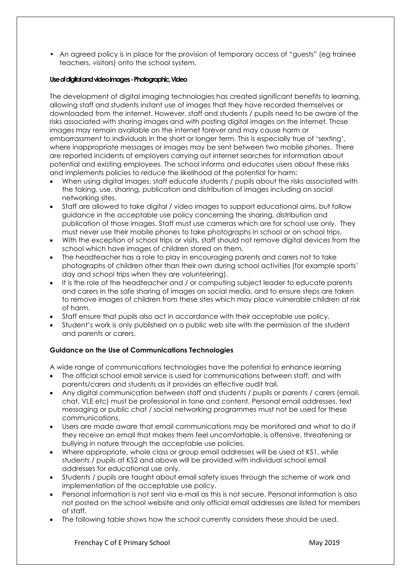• An agreed policy is in place for the provision of temporary access of "guests" (eg trainee teachers, visitors) onto the school system.

# **Use of digital and video images -Photographic, Video**

The development of digital imaging technologies has created significant benefits to learning, allowing staff and students instant use of images that they have recorded themselves or downloaded from the internet. However, staff and students / pupils need to be aware of the risks associated with sharing images and with posting digital images on the internet. Those images may remain available on the internet forever and may cause harm or embarrassment to individuals in the short or longer term. This is especially true of 'sexting', where inappropriate messages or images may be sent between two mobile phones. There are reported incidents of employers carrying out internet searches for information about potential and existing employees. The school informs and educates users about these risks and implements policies to reduce the likelihood of the potential for harm:

- When using digital images, staff educate students / pupils about the risks associated with the taking, use, sharing, publication and distribution of images including on social networking sites.
- Staff are allowed to take digital / video images to support educational aims, but follow guidance in the acceptable use policy concerning the sharing, distribution and publication of those images. Staff must use cameras which are for school use only. They must never use their mobile phones to take photographs in school or on school trips.
- With the exception of school trips or visits, staff should not remove digital devices from the school which have images of children stored on them.
- The headteacher has a role to play in encouraging parents and carers not to take photographs of children other than their own during school activities (for example sports' day and school trips when they are volunteering).
- It is the role of the headteacher and / or computing subject leader to educate parents and carers in the safe sharing of images on social media, and to ensure steps are taken to remove images of children from these sites which may place vulnerable children at risk of harm.
- Staff ensure that pupils also act in accordance with their acceptable use policy.
- Student's work is only published on a public web site with the permission of the student and parents or carers.

# **Guidance on the Use of Communications Technologies**

A wide range of communications technologies have the potential to enhance learning

- The official school email service is used for communications between staff, and with parents/carers and students as it provides an effective audit trail.
- Any digital communication between staff and students / pupils or parents / carers (email, chat, VLE etc) must be professional in tone and content. Personal email addresses, text messaging or public chat / social networking programmes must not be used for these communications.
- Users are made aware that email communications may be monitored and what to do if they receive an email that makes them feel uncomfortable, is offensive, threatening or bullying in nature through the acceptable use policies.
- Where appropriate, whole class or group email addresses will be used at KS1, while students / pupils at KS2 and above will be provided with individual school email addresses for educational use only.
- Students / pupils are taught about email safety issues through the scheme of work and implementation of the acceptable use policy.
- Personal information is not sent via e-mail as this is not secure. Personal information is also not posted on the school website and only official email addresses are listed for members of staff.
- The following table shows how the school currently considers these should be used.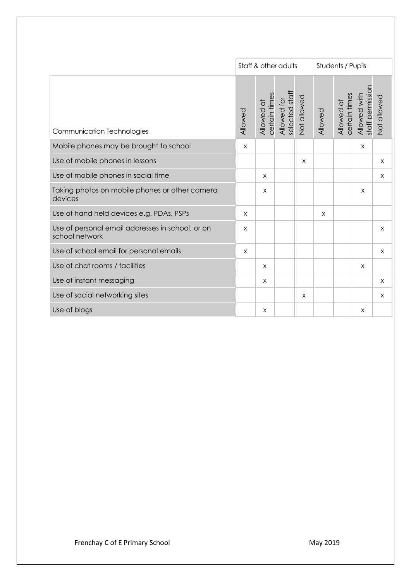|                                                                    | Staff & other adults |                             |                               |             | Students / Pupils |                             |                                  |             |
|--------------------------------------------------------------------|----------------------|-----------------------------|-------------------------------|-------------|-------------------|-----------------------------|----------------------------------|-------------|
| Communication Technologies                                         | Allowed              | certain times<br>Allowed at | Allowed for<br>selected staff | Not allowed | Allowed           | certain times<br>Allowed at | staff permission<br>Allowed with | Not allowed |
| Mobile phones may be brought to school                             | X                    |                             |                               |             |                   |                             | X                                |             |
| Use of mobile phones in lessons                                    |                      |                             |                               | $\times$    |                   |                             |                                  | $\times$    |
| Use of mobile phones in social time                                |                      | $\times$                    |                               |             |                   |                             |                                  | $\times$    |
| Taking photos on mobile phones or other camera<br>devices          |                      | X                           |                               |             |                   |                             | X                                |             |
| Use of hand held devices e.g. PDAs, PSPs                           | $\mathsf{x}$         |                             |                               |             | $\mathsf{X}$      |                             |                                  |             |
| Use of personal email addresses in school, or on<br>school network | X                    |                             |                               |             |                   |                             |                                  | $\times$    |
| Use of school email for personal emails                            | $\mathsf{X}$         |                             |                               |             |                   |                             |                                  | $\times$    |
| Use of chat rooms / facilities                                     |                      | X                           |                               |             |                   |                             | X                                |             |
| Use of instant messaging                                           |                      | X                           |                               |             |                   |                             |                                  | $\times$    |
| Use of social networking sites                                     |                      |                             |                               | X           |                   |                             |                                  | X           |
| Use of blogs                                                       |                      | X                           |                               |             |                   |                             | X                                |             |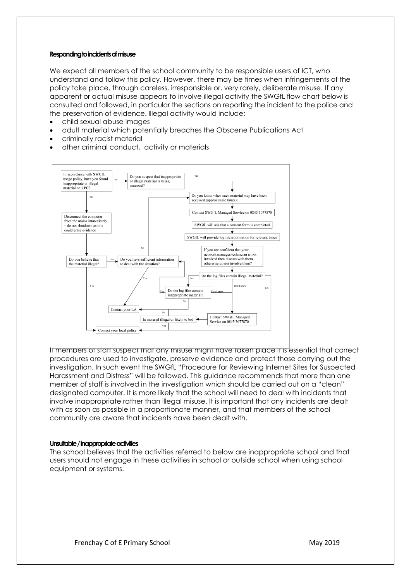#### **Responding to incidents of misuse**

We expect all members of the school community to be responsible users of ICT, who understand and follow this policy. However, there may be times when infringements of the policy take place, through careless, irresponsible or, very rarely, deliberate misuse. If any apparent or actual misuse appears to involve illegal activity the SWGfL flow chart below is consulted and followed, in particular the sections on reporting the incident to the police and the preservation of evidence. Illegal activity would include:

- child sexual abuse images
- adult material which potentially breaches the Obscene Publications Act
- criminally racist material
- other criminal conduct, activity or materials



If members of staff suspect that any misuse might have taken place it is essential that correct procedures are used to investigate, preserve evidence and protect those carrying out the investigation. In such event the SWGfL "Procedure for Reviewing Internet Sites for Suspected Harassment and Distress" will be followed. This guidance recommends that more than one member of staff is involved in the investigation which should be carried out on a "clean" designated computer. It is more likely that the school will need to deal with incidents that involve inappropriate rather than illegal misuse. It is important that any incidents are dealt with as soon as possible in a proportionate manner, and that members of the school community are aware that incidents have been dealt with.

#### **Unsuitable / inappropriate activities**

The school believes that the activities referred to below are inappropriate school and that users should not engage in these activities in school or outside school when using school equipment or systems.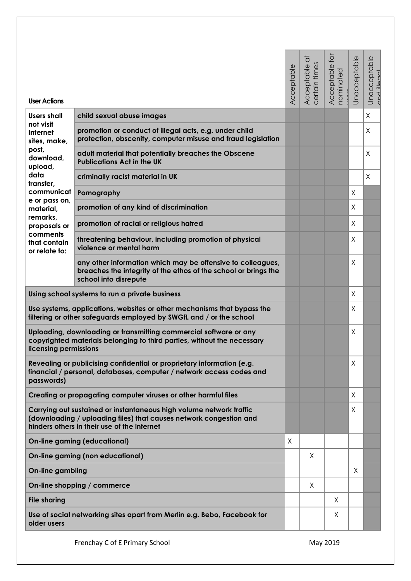| <b>User Actions</b>                                                                                                                                          |                                                                                                                                                                                          | Acceptable | $\overline{\sigma}$<br>certain times<br>Acceptable | ğ<br>Acceptable<br>nominated | Unacceptable | Unacceptable<br>Innalli han |
|--------------------------------------------------------------------------------------------------------------------------------------------------------------|------------------------------------------------------------------------------------------------------------------------------------------------------------------------------------------|------------|----------------------------------------------------|------------------------------|--------------|-----------------------------|
| <b>Users shall</b>                                                                                                                                           | child sexual abuse images                                                                                                                                                                |            |                                                    |                              |              | X                           |
| not visit<br>Internet<br>sites, make,                                                                                                                        | promotion or conduct of illegal acts, e.g. under child<br>protection, obscenity, computer misuse and fraud legislation                                                                   |            |                                                    |                              |              | Χ                           |
| post,<br>download,<br>upload,                                                                                                                                | adult material that potentially breaches the Obscene<br><b>Publications Act in the UK</b>                                                                                                |            |                                                    |                              |              | Χ                           |
| data<br>transfer,                                                                                                                                            | criminally racist material in UK                                                                                                                                                         |            |                                                    |                              |              | Χ                           |
| communicat                                                                                                                                                   | Pornography                                                                                                                                                                              |            |                                                    |                              | X            |                             |
| e or pass on,<br>material,                                                                                                                                   | promotion of any kind of discrimination                                                                                                                                                  |            |                                                    |                              | Χ            |                             |
| remarks,<br>proposals or                                                                                                                                     | promotion of racial or religious hatred                                                                                                                                                  |            |                                                    |                              | X            |                             |
| comments<br>that contain<br>or relate to:                                                                                                                    | threatening behaviour, including promotion of physical<br>violence or mental harm                                                                                                        |            |                                                    |                              | X            |                             |
|                                                                                                                                                              | any other information which may be offensive to colleagues,<br>breaches the integrity of the ethos of the school or brings the<br>school into disrepute                                  |            |                                                    |                              | $\times$     |                             |
|                                                                                                                                                              | Using school systems to run a private business                                                                                                                                           |            |                                                    |                              | X            |                             |
|                                                                                                                                                              | Use systems, applications, websites or other mechanisms that bypass the<br>filtering or other safeguards employed by SWGfL and / or the school                                           |            |                                                    |                              | Χ            |                             |
| licensing permissions                                                                                                                                        | Uploading, downloading or transmitting commercial software or any<br>copyrighted materials belonging to third parties, without the necessary                                             |            |                                                    |                              | $\sf X$      |                             |
| Revealing or publicising confidential or proprietary information (e.g.<br>financial / personal, databases, computer / network access codes and<br>passwords) |                                                                                                                                                                                          |            |                                                    |                              | X            |                             |
|                                                                                                                                                              | Creating or propagating computer viruses or other harmful files                                                                                                                          |            |                                                    |                              | X            |                             |
|                                                                                                                                                              | Carrying out sustained or instantaneous high volume network traffic<br>(downloading / uploading files) that causes network congestion and<br>hinders others in their use of the internet |            |                                                    |                              | X            |                             |
|                                                                                                                                                              | <b>On-line gaming (educational)</b>                                                                                                                                                      | X          |                                                    |                              |              |                             |
|                                                                                                                                                              | <b>On-line gaming (non educational)</b>                                                                                                                                                  |            | X                                                  |                              |              |                             |
| <b>On-line gambling</b>                                                                                                                                      |                                                                                                                                                                                          |            |                                                    |                              | Χ            |                             |
|                                                                                                                                                              | On-line shopping / commerce                                                                                                                                                              |            | X                                                  |                              |              |                             |
| <b>File sharing</b>                                                                                                                                          |                                                                                                                                                                                          |            |                                                    | X                            |              |                             |
| older users                                                                                                                                                  | Use of social networking sites apart from Merlin e.g. Bebo, Facebook for                                                                                                                 |            |                                                    | X                            |              |                             |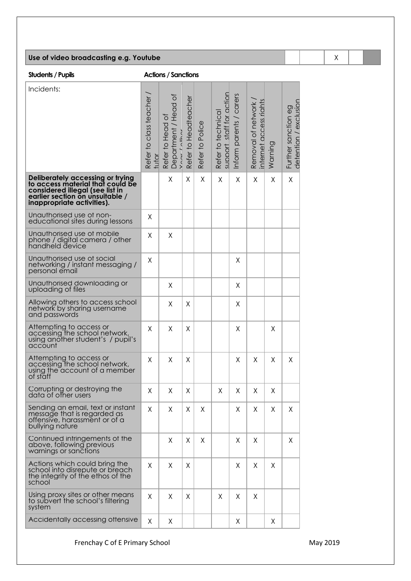# **Use of video broadcasting e.g. Youtube** X

**Students / Pupils Actions / Sanctions** 

| Incidents:                                                                                                                                                               | Refer to class teacher<br>tutor | Department / Head of<br>variet aller<br>$\overline{\mathrm{o}}$<br>Refer to Head | Refer to Headteacher | Refer to Police | support staff for action<br>Refer to technical | Inform parents / carers | internet access riahts<br>Removal of network | Warning | detention / exclusion<br>Further sanction eg |
|--------------------------------------------------------------------------------------------------------------------------------------------------------------------------|---------------------------------|----------------------------------------------------------------------------------|----------------------|-----------------|------------------------------------------------|-------------------------|----------------------------------------------|---------|----------------------------------------------|
| Deliberately accessing or trying<br>to access material that could be<br>considered illegal (see list in<br>earlier section on unsuitable /<br>inappropriate activities). |                                 | X                                                                                | X                    | Χ               | X                                              | Χ                       | X                                            | Χ       | X                                            |
| Unauthorised use of non-<br>educational sites during lessons                                                                                                             | Χ                               |                                                                                  |                      |                 |                                                |                         |                                              |         |                                              |
| Unauthorised use of mobile<br>phone / digital camera / other<br>handheld device                                                                                          | Χ                               | Χ                                                                                |                      |                 |                                                |                         |                                              |         |                                              |
| Unauthorised use of social<br>networking / instant messaging /<br>personal email                                                                                         | X                               |                                                                                  |                      |                 |                                                | Χ                       |                                              |         |                                              |
| Unauthorised downloading or<br>uploading of files                                                                                                                        |                                 | Χ                                                                                |                      |                 |                                                | X                       |                                              |         |                                              |
| Allowing others to access school<br>network by sharing username<br>and passwords                                                                                         |                                 | X                                                                                | Χ                    |                 |                                                | Χ                       |                                              |         |                                              |
| Attempting to access or<br>accessing the school network,<br>using another student's / pupil's<br>account                                                                 | X                               | X                                                                                | Χ                    |                 |                                                | Χ                       |                                              | Χ       |                                              |
| Attempting to access or<br>accessing the school network,<br>using the account of a member<br>of staff                                                                    | X                               | Χ                                                                                | Χ                    |                 |                                                | Χ                       | Χ                                            | Χ       | X                                            |
| Corrupting or destroying the<br>data of other users                                                                                                                      | Χ                               | Χ                                                                                | Χ                    |                 | Χ                                              | $\mathsf{X}$            | $\mathsf X$                                  | Χ       |                                              |
| Sending an email, text or instant<br>message that is regarded as<br>offensive, harassment or of a<br>bullying nature                                                     | X                               | Χ                                                                                | Χ                    | Χ               |                                                | Χ                       | Χ                                            | Χ       | X                                            |
| Continued infringements of the<br>above, following previous<br>warnings or sanctions                                                                                     |                                 | Χ                                                                                | Χ                    | Χ               |                                                | Χ                       | Χ                                            |         | Χ                                            |
| Actions which could bring the<br>school into disrepute or breach<br>the integrity of the ethos of the<br>school                                                          | X                               | X                                                                                | Χ                    |                 |                                                | Χ                       | X                                            | Χ       |                                              |
| Using proxy sites or other means<br>to subvert the school's filtering<br>system                                                                                          | X                               | Χ                                                                                | X                    |                 | Χ                                              | Χ                       | Χ                                            |         |                                              |
| Accidentally accessing offensive                                                                                                                                         | X                               | X                                                                                |                      |                 |                                                | Χ                       |                                              | X       |                                              |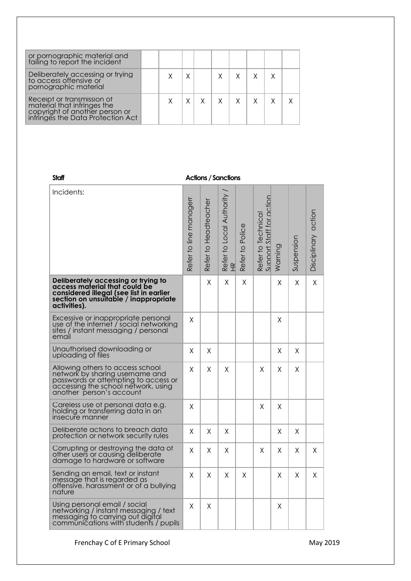| or pornographic material and<br>failing to report the incident                                                                   |  |   |  |  |  |
|----------------------------------------------------------------------------------------------------------------------------------|--|---|--|--|--|
| Deliberately accessing or trying<br>to access offensive or<br>pornographic material                                              |  | Χ |  |  |  |
| Receipt or transmission of<br>material that infringes the<br>copyright of another person or<br>infringes the Data Protection Act |  |   |  |  |  |

#### **Staff Actions / Sanctions**

| Incidents:                                                                                                                                                                     | Refer to line managerr | Refer to Headteacher | Refer to Local Authority /<br>뙤 | Refer to Police | Refer to Technical<br>Support Staff for action | Warning | Suspension | Disciplinary action |
|--------------------------------------------------------------------------------------------------------------------------------------------------------------------------------|------------------------|----------------------|---------------------------------|-----------------|------------------------------------------------|---------|------------|---------------------|
| Deliberately accessing or trying to<br>access material that could be<br>considered illegal (see list in earlier<br>section on unsuitable / inappropriate<br>activities).       |                        | X                    | Χ                               | Χ               |                                                | Χ       | X          | X                   |
| Excessive or inappropriate personal<br>use of the internet / social networking<br>sites / instant messaging / personal<br>email                                                | X                      |                      |                                 |                 |                                                | Χ       |            |                     |
| Unauthorised downloading or<br>uploading of files                                                                                                                              | X                      | X                    |                                 |                 |                                                | X       | X          |                     |
| Allowing others to access school<br>network by sharing username and<br>passwords or attempting to access or<br>accessing the school network, using<br>another person's account | X                      | X                    | Χ                               |                 | X                                              | Χ       | X          |                     |
| Careless use of personal data e.g.<br>holding or transferring data in an<br>insecure manner                                                                                    | X                      |                      |                                 |                 | X                                              | Χ       |            |                     |
| Deliberate actions to breach data<br>protection or network security rules                                                                                                      | X                      | X                    | X                               |                 |                                                | X       | X          |                     |
| Corrupting or destroying the data of<br>other users or causing deliberate<br>damage to hardware or software                                                                    | X                      | Χ                    | Χ                               |                 | X                                              | Χ       | X.         | X                   |
| Sending an email, text or instant<br>message that is regarded as<br>offensive, harassment or of a bullying<br>nature                                                           | X                      | X                    | X.                              | Χ               |                                                | Χ       | X          | X                   |
| Using personal email / social<br>networking / instant messaging / text<br>messaging to carrying out digital<br>communications with students / pupils                           | Χ                      | Χ                    |                                 |                 |                                                | Χ       |            |                     |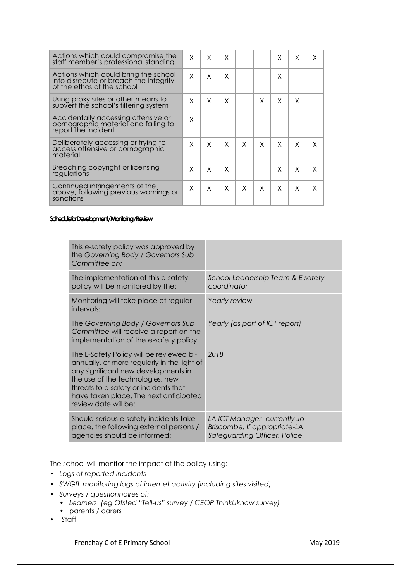| Actions which could compromise the<br>staff member's professional standing                                   | X | X | X |   |   | Χ | X | X |
|--------------------------------------------------------------------------------------------------------------|---|---|---|---|---|---|---|---|
| Actions which could bring the school<br>into disrepute or breach the integrity<br>of the ethos of the school | X | X | X |   |   | X |   |   |
| Using proxy sites or other means to<br>subvert the school's filtering system                                 | X | X | X |   | X | X | X |   |
| Accidentally accessing offensive or<br>pornographic material and failing to<br>report the incident           | X |   |   |   |   |   |   |   |
| Deliberately accessing or trying to<br>access offensive or pornographic<br>material                          | X | X | X | X | X | X | X | X |
| Breaching copyright or licensing<br>regulations                                                              | X | X | X |   |   | X | X | X |
| Continued infringements of the<br>above, following previous warnings or<br>sanctions                         | X | X | X | X | X | X | X | X |

#### **Schedule for Development / Monitoring / Review**

|  | This e-safety policy was approved by<br>the Governing Body / Governors Sub<br>Committee on:                                                                                                                                                                                   |                                                                                              |
|--|-------------------------------------------------------------------------------------------------------------------------------------------------------------------------------------------------------------------------------------------------------------------------------|----------------------------------------------------------------------------------------------|
|  | The implementation of this e-safety<br>policy will be monitored by the:                                                                                                                                                                                                       | School Leadership Team & E safety<br>coordinator                                             |
|  | Monitoring will take place at regular<br>intervals:                                                                                                                                                                                                                           | Yearly review                                                                                |
|  | The Governing Body / Governors Sub<br>Committee will receive a report on the<br>implementation of the e-safety policy:                                                                                                                                                        | Yearly (as part of ICT report)                                                               |
|  | The E-Safety Policy will be reviewed bi-<br>annually, or more regularly in the light of<br>any significant new developments in<br>the use of the technologies, new<br>threats to e-safety or incidents that<br>have taken place. The next anticipated<br>review date will be: | 2018                                                                                         |
|  | Should serious e-safety incidents take<br>place, the following external persons /<br>agencies should be informed:                                                                                                                                                             | LA ICT Manager- currently Jo<br>Briscombe, If appropriate-LA<br>Safeguarding Officer, Police |

The school will monitor the impact of the policy using:

- *• Logs of reported incidents*
- *• SWGfL monitoring logs of internet activity (including sites visited)*
- *• Surveys / questionnaires of:* 
	- *• Learners (eg Ofsted "Tell-us" survey / CEOP ThinkUknow survey) •* parents / carers
- *S*taff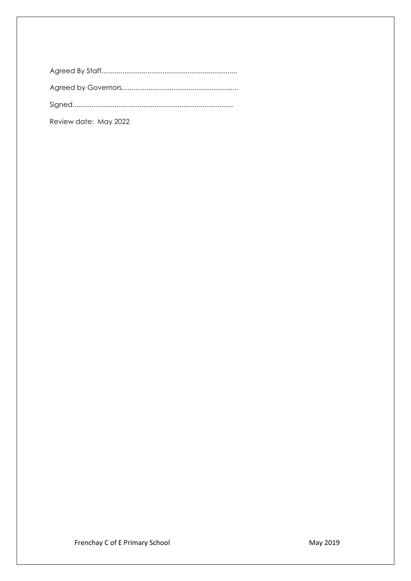| Review date: May 2022 |
|-----------------------|

Frenchay C of E Primary School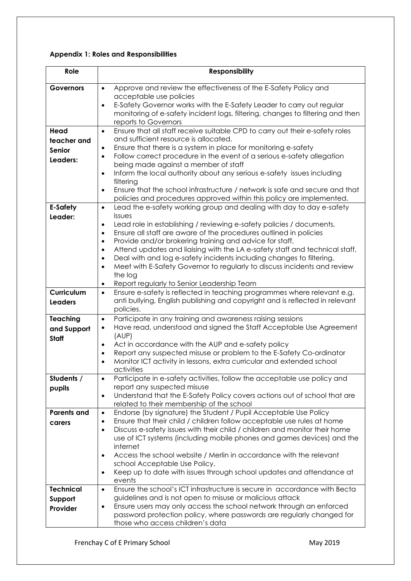# **Appendix 1: Roles and Responsibilities**

| Role               | <b>Responsibility</b>                                                                                                                                                          |
|--------------------|--------------------------------------------------------------------------------------------------------------------------------------------------------------------------------|
| <b>Governors</b>   | Approve and review the effectiveness of the E-Safety Policy and<br>$\bullet$                                                                                                   |
|                    | acceptable use policies                                                                                                                                                        |
|                    | E-Safety Governor works with the E-Safety Leader to carry out regular<br>$\bullet$                                                                                             |
|                    | monitoring of e-safety incident logs, filtering, changes to filtering and then<br>reports to Governors                                                                         |
| Head               | Ensure that all staff receive suitable CPD to carry out their e-safety roles<br>$\bullet$                                                                                      |
| teacher and        | and sufficient resource is allocated.                                                                                                                                          |
| <b>Senior</b>      | Ensure that there is a system in place for monitoring e-safety<br>$\bullet$                                                                                                    |
| Leaders:           | Follow correct procedure in the event of a serious e-safety allegation<br>$\bullet$                                                                                            |
|                    | being made against a member of staff                                                                                                                                           |
|                    | Inform the local authority about any serious e-safety issues including<br>$\bullet$<br>filtering                                                                               |
|                    | Ensure that the school infrastructure / network is safe and secure and that<br>$\bullet$                                                                                       |
|                    | policies and procedures approved within this policy are implemented.                                                                                                           |
| <b>E-Safety</b>    | Lead the e-safety working group and dealing with day to day e-safety<br>$\bullet$                                                                                              |
| Leader:            | issues                                                                                                                                                                         |
|                    | Lead role in establishing / reviewing e-safety policies / documents,<br>$\bullet$                                                                                              |
|                    | Ensure all staff are aware of the procedures outlined in policies<br>$\bullet$<br>Provide and/or brokering training and advice for staff,<br>$\bullet$                         |
|                    | Attend updates and liaising with the LA e-safety staff and technical staff,<br>$\bullet$                                                                                       |
|                    | Deal with and log e-safety incidents including changes to filtering,<br>$\bullet$                                                                                              |
|                    | Meet with E-Safety Governor to regularly to discuss incidents and review<br>$\bullet$                                                                                          |
|                    | the log                                                                                                                                                                        |
|                    | Report regularly to Senior Leadership Team<br>$\bullet$                                                                                                                        |
| Curriculum         | Ensure e-safety is reflected in teaching programmes where relevant e.g.<br>$\bullet$                                                                                           |
| <b>Leaders</b>     | anti bullying, English publishing and copyright and is reflected in relevant<br>policies.                                                                                      |
| <b>Teaching</b>    | Participate in any training and awareness raising sessions<br>$\bullet$                                                                                                        |
| and Support        | Have read, understood and signed the Staff Acceptable Use Agreement<br>$\bullet$                                                                                               |
| <b>Staff</b>       | (AUP)                                                                                                                                                                          |
|                    | Act in accordance with the AUP and e-safety policy<br>$\bullet$                                                                                                                |
|                    | Report any suspected misuse or problem to the E-Safety Co-ordinator<br>٠<br>Monitor ICT activity in lessons, extra curricular and extended school                              |
|                    | activities                                                                                                                                                                     |
| Students /         | Participate in e-safety activities, follow the acceptable use policy and<br>$\bullet$                                                                                          |
| pupils             | report any suspected misuse                                                                                                                                                    |
|                    | Understand that the E-Safety Policy covers actions out of school that are<br>$\bullet$                                                                                         |
|                    | related to their membership of the school                                                                                                                                      |
| <b>Parents and</b> | Endorse (by signature) the Student / Pupil Acceptable Use Policy<br>$\bullet$                                                                                                  |
| carers             | Ensure that their child / children follow acceptable use rules at home<br>$\bullet$<br>Discuss e-safety issues with their child / children and monitor their home<br>$\bullet$ |
|                    | use of ICT systems (including mobile phones and games devices) and the                                                                                                         |
|                    | internet                                                                                                                                                                       |
|                    | Access the school website / Merlin in accordance with the relevant<br>$\bullet$                                                                                                |
|                    | school Acceptable Use Policy.                                                                                                                                                  |
|                    | Keep up to date with issues through school updates and attendance at<br>$\bullet$                                                                                              |
|                    | events                                                                                                                                                                         |
| <b>Technical</b>   | Ensure the school's ICT infrastructure is secure in accordance with Becta<br>$\bullet$                                                                                         |
| Support            | guidelines and is not open to misuse or malicious attack                                                                                                                       |
| Provider           | Ensure users may only access the school network through an enforced<br>$\bullet$<br>password protection policy, where passwords are regularly changed for                      |
|                    | those who access children's data                                                                                                                                               |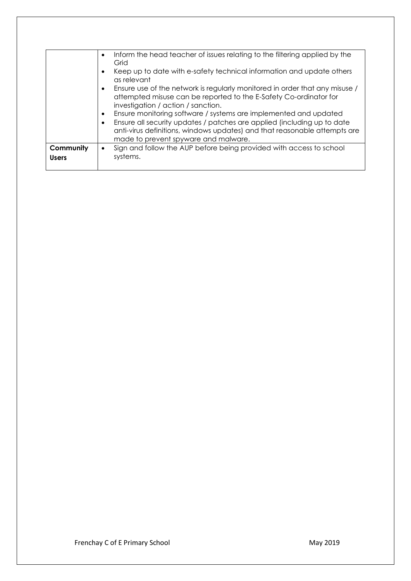|              | Inform the head teacher of issues relating to the filtering applied by the<br>Grid                                                                                                                  |
|--------------|-----------------------------------------------------------------------------------------------------------------------------------------------------------------------------------------------------|
|              | Keep up to date with e-safety technical information and update others<br>as relevant                                                                                                                |
|              | Ensure use of the network is regularly monitored in order that any misuse /<br>$\bullet$<br>attempted misuse can be reported to the E-Safety Co-ordinator for<br>investigation / action / sanction. |
|              | Ensure monitoring software / systems are implemented and updated                                                                                                                                    |
|              | Ensure all security updates / patches are applied (including up to date<br>anti-virus definitions, windows updates) and that reasonable attempts are<br>made to prevent spyware and malware.        |
| Community    | Sign and follow the AUP before being provided with access to school                                                                                                                                 |
| <b>Users</b> | systems.                                                                                                                                                                                            |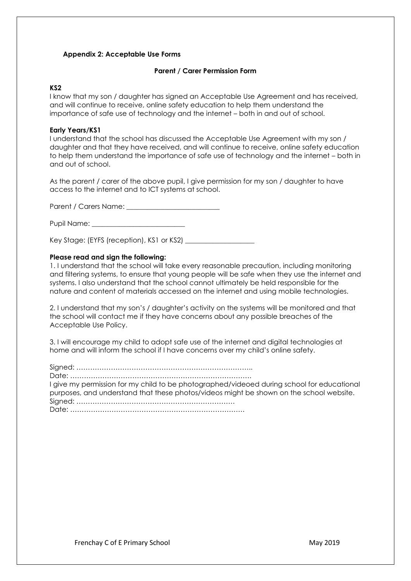### **Appendix 2: Acceptable Use Forms**

#### **Parent / Carer Permission Form**

# **KS2**

I know that my son / daughter has signed an Acceptable Use Agreement and has received, and will continue to receive, online safety education to help them understand the importance of safe use of technology and the internet – both in and out of school.

#### **Early Years/KS1**

I understand that the school has discussed the Acceptable Use Agreement with my son / daughter and that they have received, and will continue to receive, online safety education to help them understand the importance of safe use of technology and the internet – both in and out of school.

As the parent / carer of the above pupil, I give permission for my son / daughter to have access to the internet and to ICT systems at school.

Parent / Carers Name: \_\_\_\_\_\_\_\_\_\_\_\_\_\_\_\_\_\_\_\_\_\_\_\_\_\_\_

Pupil Name: \_\_\_\_\_\_\_\_\_\_\_\_\_\_\_\_\_\_\_\_\_\_\_\_\_\_\_

Key Stage: (EYFS (reception), KS1 or KS2)

#### **Please read and sign the following:**

1. I understand that the school will take every reasonable precaution, including monitoring and filtering systems, to ensure that young people will be safe when they use the internet and systems. I also understand that the school cannot ultimately be held responsible for the nature and content of materials accessed on the internet and using mobile technologies.

2. I understand that my son's / daughter's activity on the systems will be monitored and that the school will contact me if they have concerns about any possible breaches of the Acceptable Use Policy.

3. I will encourage my child to adopt safe use of the internet and digital technologies at home and will inform the school if I have concerns over my child's online safety.

Signed: ………………………………………………………………….. Date: ……………………………………………………………………. I give my permission for my child to be photographed/videoed during school for educational purposes, and understand that these photos/videos might be shown on the school website. Signed: …………………………………………………………… Date: ………………………………………………………………….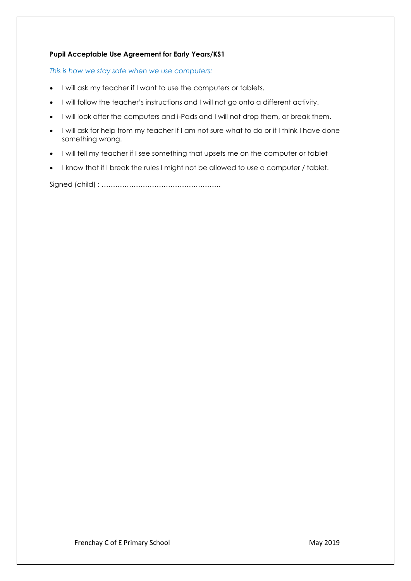# **Pupil Acceptable Use Agreement for Early Years/KS1**

*This is how we stay safe when we use computers:* 

- I will ask my teacher if I want to use the computers or tablets.
- I will follow the teacher's instructions and I will not go onto a different activity.
- I will look after the computers and i-Pads and I will not drop them, or break them.
- I will ask for help from my teacher if I am not sure what to do or if I think I have done something wrong.
- I will tell my teacher if I see something that upsets me on the computer or tablet
- I know that if I break the rules I might not be allowed to use a computer / tablet.

Signed (child) : …………………………………………….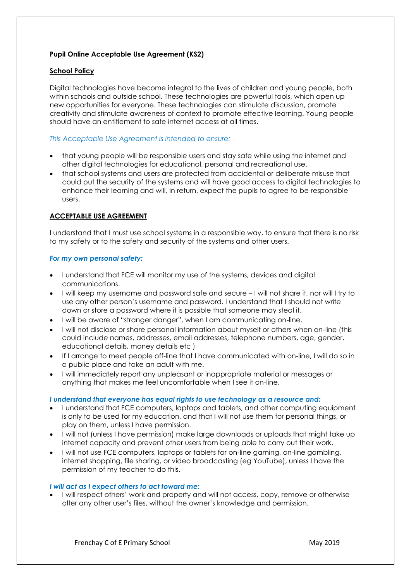# **Pupil Online Acceptable Use Agreement (KS2)**

# **School Policy**

Digital technologies have become integral to the lives of children and young people, both within schools and outside school. These technologies are powerful tools, which open up new opportunities for everyone. These technologies can stimulate discussion, promote creativity and stimulate awareness of context to promote effective learning. Young people should have an entitlement to safe internet access at all times.

### *This Acceptable Use Agreement is intended to ensure:*

- that young people will be responsible users and stay safe while using the internet and other digital technologies for educational, personal and recreational use.
- that school systems and users are protected from accidental or deliberate misuse that could put the security of the systems and will have good access to digital technologies to enhance their learning and will, in return, expect the pupils to agree to be responsible users.

# **ACCEPTABLE USE AGREEMENT**

I understand that I must use school systems in a responsible way, to ensure that there is no risk to my safety or to the safety and security of the systems and other users.

### *For my own personal safety:*

- I understand that FCE will monitor my use of the systems, devices and digital communications.
- I will keep my username and password safe and secure I will not share it, nor will I try to use any other person's username and password. I understand that I should not write down or store a password where it is possible that someone may steal it.
- I will be aware of "stranger danger", when I am communicating on-line.
- I will not disclose or share personal information about myself or others when on-line (this could include names, addresses, email addresses, telephone numbers, age, gender, educational details, money details etc )
- If I arrange to meet people off-line that I have communicated with on-line, I will do so in a public place and take an adult with me.
- I will immediately report any unpleasant or inappropriate material or messages or anything that makes me feel uncomfortable when I see it on-line.

### *I understand that everyone has equal rights to use technology as a resource and:*

- I understand that FCE computers, laptops and tablets, and other computing equipment is only to be used for my education, and that I will not use them for personal things, or play on them, unless I have permission.
- I will not (unless I have permission) make large downloads or uploads that might take up internet capacity and prevent other users from being able to carry out their work.
- I will not use FCE computers, laptops or tablets for on-line gaming, on-line gambling, internet shopping, file sharing, or video broadcasting (eg YouTube), unless I have the permission of my teacher to do this.

#### *I will act as I expect others to act toward me:*

• I will respect others' work and property and will not access, copy, remove or otherwise alter any other user's files, without the owner's knowledge and permission.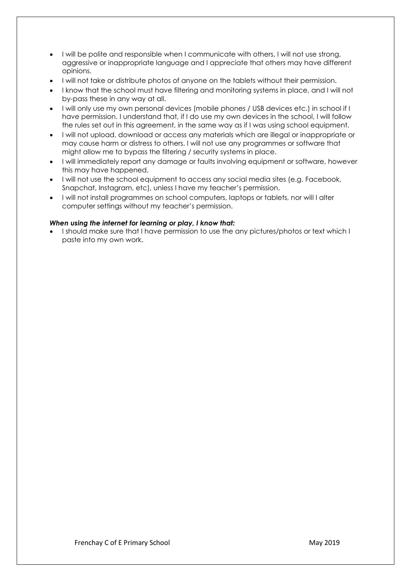- I will be polite and responsible when I communicate with others, I will not use strong, aggressive or inappropriate language and I appreciate that others may have different opinions.
- I will not take or distribute photos of anyone on the tablets without their permission.
- I know that the school must have filtering and monitoring systems in place, and I will not by-pass these in any way at all.
- I will only use my own personal devices (mobile phones / USB devices etc.) in school if I have permission. I understand that, if I do use my own devices in the school, I will follow the rules set out in this agreement, in the same way as if I was using school equipment.
- I will not upload, download or access any materials which are illegal or inappropriate or may cause harm or distress to others. I will not use any programmes or software that might allow me to bypass the filtering / security systems in place.
- I will immediately report any damage or faults involving equipment or software, however this may have happened.
- I will not use the school equipment to access any social media sites (e.g. Facebook, Snapchat, Instagram, etc), unless I have my teacher's permission.
- I will not install programmes on school computers, laptops or tablets, nor will I alter computer settings without my teacher's permission.

# *When using the internet for learning or play, I know that:*

• I should make sure that I have permission to use the any pictures/photos or text which I paste into my own work.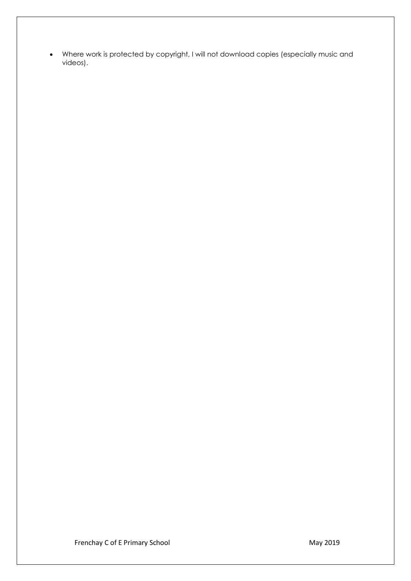• Where work is protected by copyright, I will not download copies (especially music and videos).